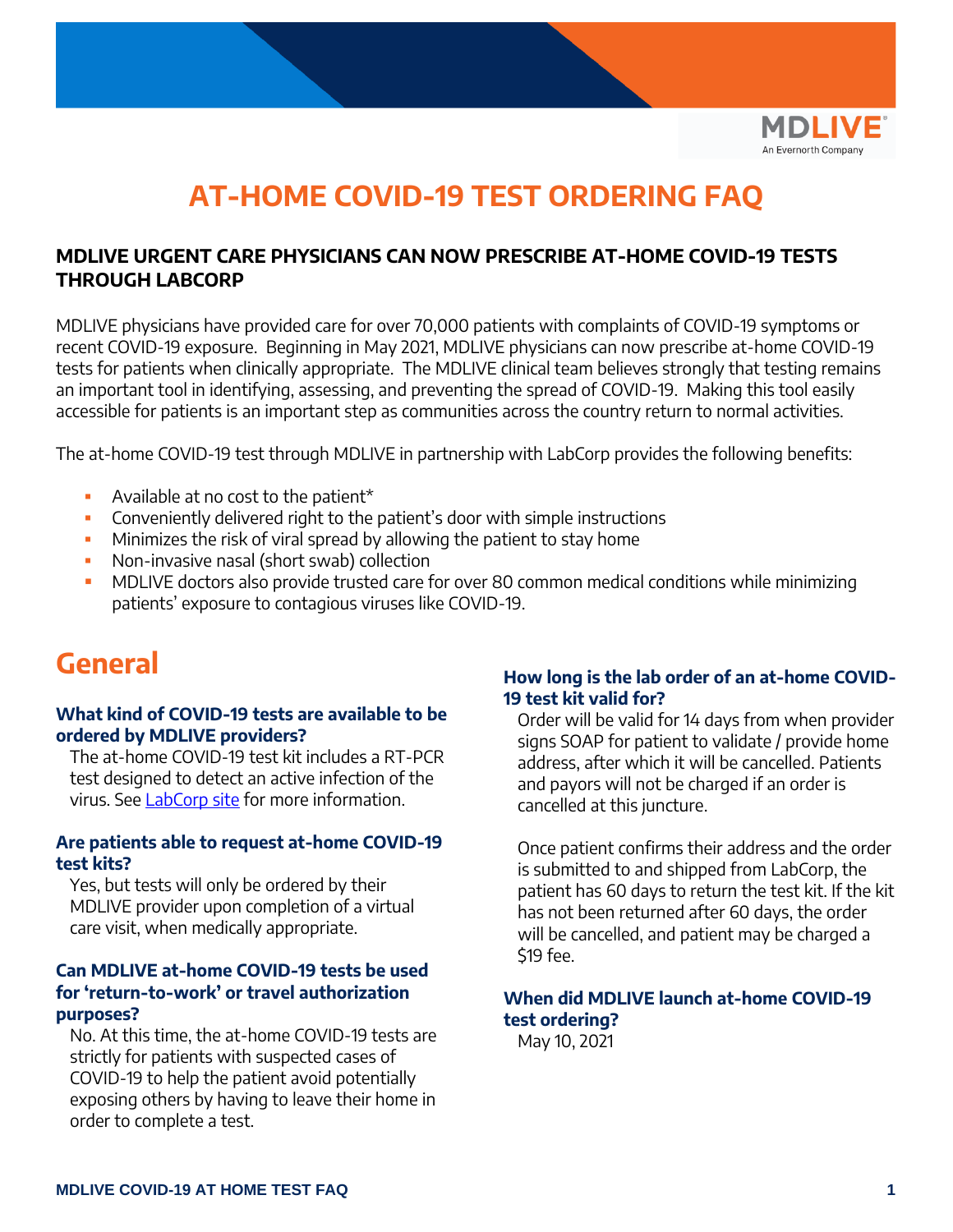

### **AT-HOME COVID-19 TEST ORDERING FAQ**

#### **MDLIVE URGENT CARE PHYSICIANS CAN NOW PRESCRIBE AT-HOME COVID-19 TESTS THROUGH LABCORP**

MDLIVE physicians have provided care for over 70,000 patients with complaints of COVID-19 symptoms or recent COVID-19 exposure. Beginning in May 2021, MDLIVE physicians can now prescribe at-home COVID-19 tests for patients when clinically appropriate. The MDLIVE clinical team believes strongly that testing remains an important tool in identifying, assessing, and preventing the spread of COVID-19. Making this tool easily accessible for patients is an important step as communities across the country return to normal activities.

The at-home COVID-19 test through MDLIVE in partnership with LabCorp provides the following benefits:

- Available at no cost to the patient<sup>\*</sup>
- **•** Conveniently delivered right to the patient's door with simple instructions
- **EXED** Minimizes the risk of viral spread by allowing the patient to stay home
- Non-invasive nasal (short swab) collection
- **MDLIVE doctors also provide trusted care for over 80 common medical conditions while minimizing** patients' exposure to contagious viruses like COVID-19.

### **General**

#### **What kind of COVID-19 tests are available to be ordered by MDLIVE providers?**

The at-home COVID-19 test kit includes a RT-PCR test designed to detect an active infection of the virus. See [LabCorp site](https://www.labcorp.com/coronavirus-disease-covid-19/providers/labcorp-home-kit-provider-information) for more information.

#### **Are patients able to request at-home COVID-19 test kits?**

Yes, but tests will only be ordered by their MDLIVE provider upon completion of a virtual care visit, when medically appropriate.

#### **Can MDLIVE at-home COVID-19 tests be used for 'return-to-work' or travel authorization purposes?**

No. At this time, the at-home COVID-19 tests are strictly for patients with suspected cases of COVID-19 to help the patient avoid potentially exposing others by having to leave their home in order to complete a test.

#### **How long is the lab order of an at-home COVID-19 test kit valid for?**

Order will be valid for 14 days from when provider signs SOAP for patient to validate / provide home address, after which it will be cancelled. Patients and payors will not be charged if an order is cancelled at this juncture.

Once patient confirms their address and the order is submitted to and shipped from LabCorp, the patient has 60 days to return the test kit. If the kit has not been returned after 60 days, the order will be cancelled, and patient may be charged a \$19 fee.

#### **When did MDLIVE launch at-home COVID-19 test ordering?**

May 10, 2021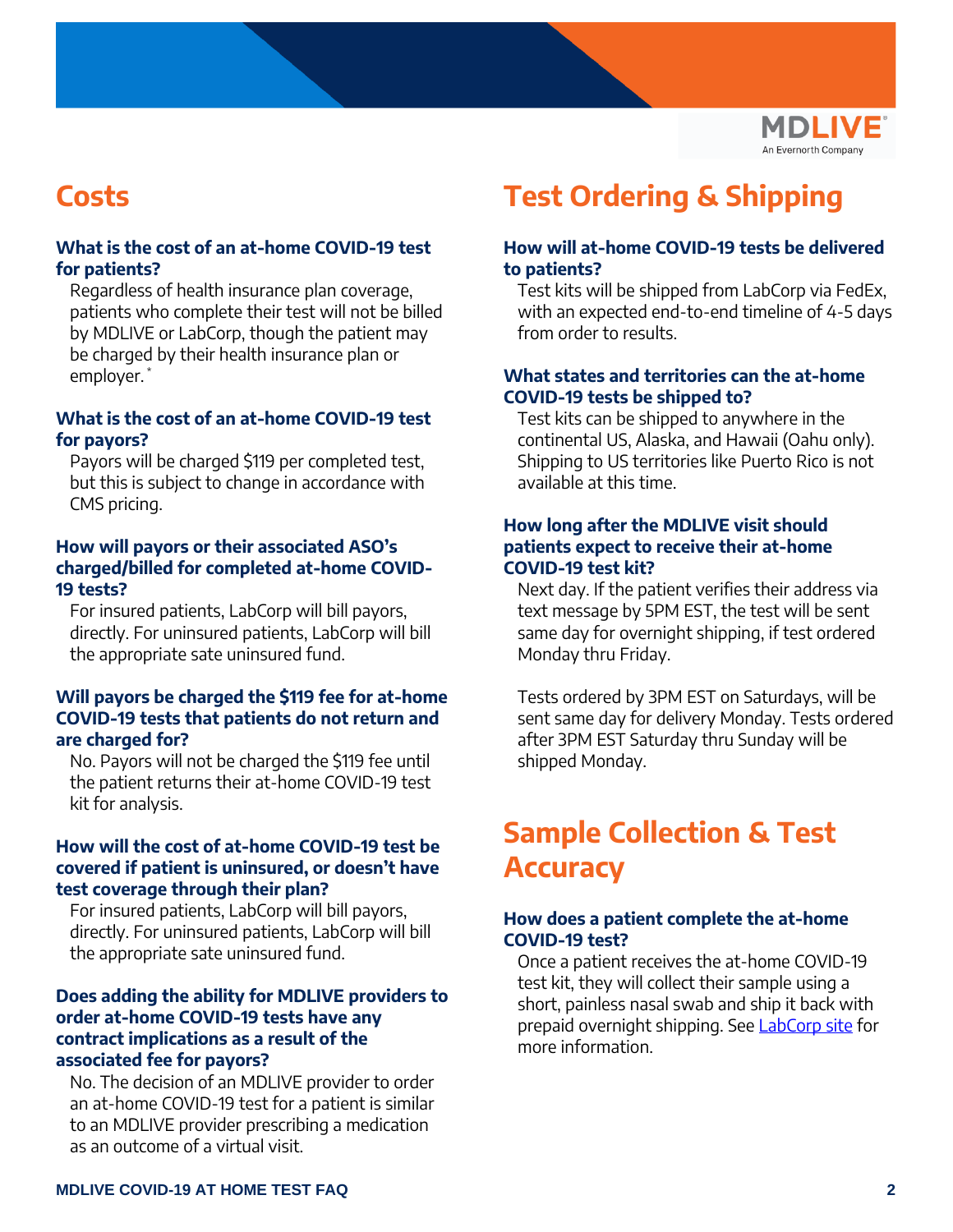

### **Costs**

#### **What is the cost of an at-home COVID-19 test for patients?**

Regardless of health insurance plan coverage, patients who complete their test will not be billed by MDLIVE or LabCorp, though the patient may be charged by their health insurance plan or employer. \*

#### **What is the cost of an at-home COVID-19 test for payors?**

Payors will be charged \$119 per completed test, but this is subject to change in accordance with CMS pricing.

#### **How will payors or their associated ASO's charged/billed for completed at-home COVID-19 tests?**

For insured patients, LabCorp will bill payors, directly. For uninsured patients, LabCorp will bill the appropriate sate uninsured fund.

#### **Will payors be charged the \$119 fee for at-home COVID-19 tests that patients do not return and are charged for?**

No. Payors will not be charged the \$119 fee until the patient returns their at-home COVID-19 test kit for analysis.

#### **How will the cost of at-home COVID-19 test be covered if patient is uninsured, or doesn't have test coverage through their plan?**

For insured patients, LabCorp will bill payors, directly. For uninsured patients, LabCorp will bill the appropriate sate uninsured fund.

#### **Does adding the ability for MDLIVE providers to order at-home COVID-19 tests have any contract implications as a result of the associated fee for payors?**

No. The decision of an MDLIVE provider to order an at-home COVID-19 test for a patient is similar to an MDLIVE provider prescribing a medication as an outcome of a virtual visit.

## **Test Ordering & Shipping**

#### **How will at-home COVID-19 tests be delivered to patients?**

Test kits will be shipped from LabCorp via FedEx, with an expected end-to-end timeline of 4-5 days from order to results.

#### **What states and territories can the at-home COVID-19 tests be shipped to?**

Test kits can be shipped to anywhere in the continental US, Alaska, and Hawaii (Oahu only). Shipping to US territories like Puerto Rico is not available at this time.

#### **How long after the MDLIVE visit should patients expect to receive their at-home COVID-19 test kit?**

Next day. If the patient verifies their address via text message by 5PM EST, the test will be sent same day for overnight shipping, if test ordered Monday thru Friday.

Tests ordered by 3PM EST on Saturdays, will be sent same day for delivery Monday. Tests ordered after 3PM EST Saturday thru Sunday will be shipped Monday.

### **Sample Collection & Test Accuracy**

#### **How does a patient complete the at-home COVID-19 test?**

Once a patient receives the at-home COVID-19 test kit, they will collect their sample using a short, painless nasal swab and ship it back with prepaid overnight shipping. See [LabCorp site](https://www.labcorp.com/coronavirus-disease-covid-19/providers/labcorp-home-kit-provider-information) for more information.